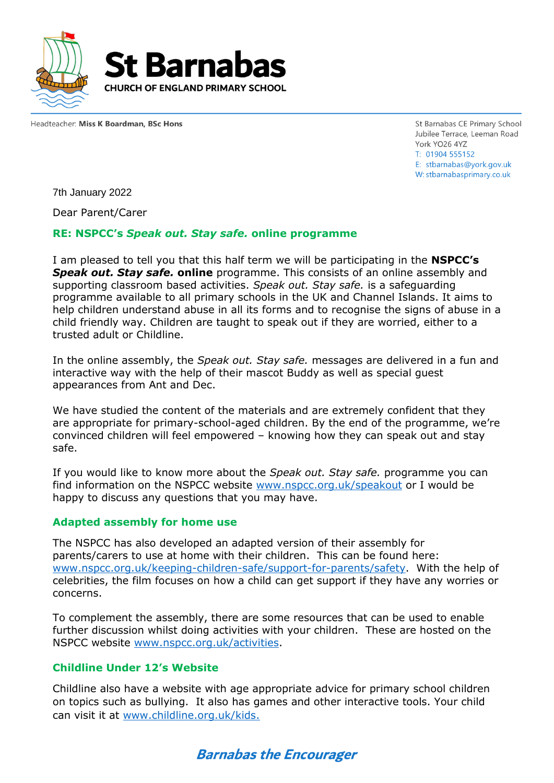

Headteacher: Miss K Boardman, BSc Hons

St Barnabas CE Primary School Jubilee Terrace, Leeman Road York YO26 4YZ T: 01904 555152 E: stbarnabas@vork.gov.uk W: stbarnabasprimary.co.uk

7th January 2022

Dear Parent/Carer

### **RE: NSPCC's** *Speak out. Stay safe.* **online programme**

I am pleased to tell you that this half term we will be participating in the **NSPCC's**  *Speak out. Stay safe.* **online** programme. This consists of an online assembly and supporting classroom based activities. *Speak out. Stay safe.* is a safeguarding programme available to all primary schools in the UK and Channel Islands. It aims to help children understand abuse in all its forms and to recognise the signs of abuse in a child friendly way. Children are taught to speak out if they are worried, either to a trusted adult or Childline.

In the online assembly, the *Speak out. Stay safe.* messages are delivered in a fun and interactive way with the help of their mascot Buddy as well as special guest appearances from Ant and Dec.

We have studied the content of the materials and are extremely confident that they are appropriate for primary-school-aged children. By the end of the programme, we're convinced children will feel empowered – knowing how they can speak out and stay safe.

If you would like to know more about the *Speak out. Stay safe.* programme you can find information on the NSPCC website [www.nspcc.org.uk/speakout](http://www.nspcc.org.uk/speakout) or I would be happy to discuss any questions that you may have.

#### **Adapted assembly for home use**

The NSPCC has also developed an adapted version of their assembly for parents/carers to use at home with their children.This can be found here: [www.nspcc.org.uk/keeping-children-safe/support-for-parents/safety.](http://www.nspcc.org.uk/keeping-children-safe/support-for-parents/safety) With the help of celebrities, the film focuses on how a child can get support if they have any worries or concerns.

To complement the assembly, there are some resources that can be used to enable further discussion whilst doing activities with your children. These are hosted on the NSPCC website [www.nspcc.org.uk/activities.](http://www.nspcc.org.uk/activities)

## **Childline Under 12's Website**

Childline also have a website with age appropriate advice for primary school children on topics such as bullying. It also has games and other interactive tools. Your child can visit it at [www.childline.org.uk/kids.](http://www.childline.org.uk/kids)

# **Barnabas the Encourager**